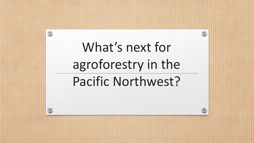# What's next for agroforestry in the

 $\circledcirc$ 

## Pacific Northwest?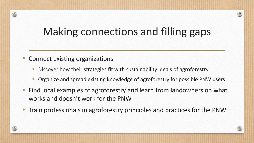#### Making connections and filling gaps

• Connect existing organizations

- Discover how their strategies fit with sustainability ideals of agroforestry
- Organize and spread existing knowledge of agroforestry for possible PNW users
- Find local examples of agroforestry and learn from landowners on what works and doesn't work for the PNW
- Train professionals in agroforestry principles and practices for the PNW

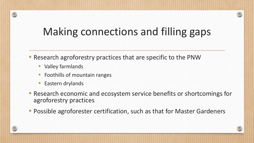#### Making connections and filling gaps

• Research agroforestry practices that are specific to the PNW

• Valley farmlands

- Foothills of mountain ranges
- Eastern drylands
- Research economic and ecosystem service benefits or shortcomings for agroforestry practices
- Possible agroforester certification, such as that for Master Gardeners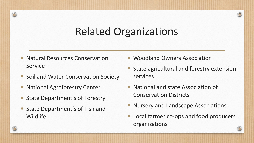#### Related Organizations

- Natural Resources Conservation Service
- Soil and Water Conservation Society
- National Agroforestry Center

- State Department's of Forestry
- State Department's of Fish and Wildlife
- Woodland Owners Association
- State agricultural and forestry extension services
- National and state Association of Conservation Districts
- Nursery and Landscape Associations
- Local farmer co-ops and food producers organizations